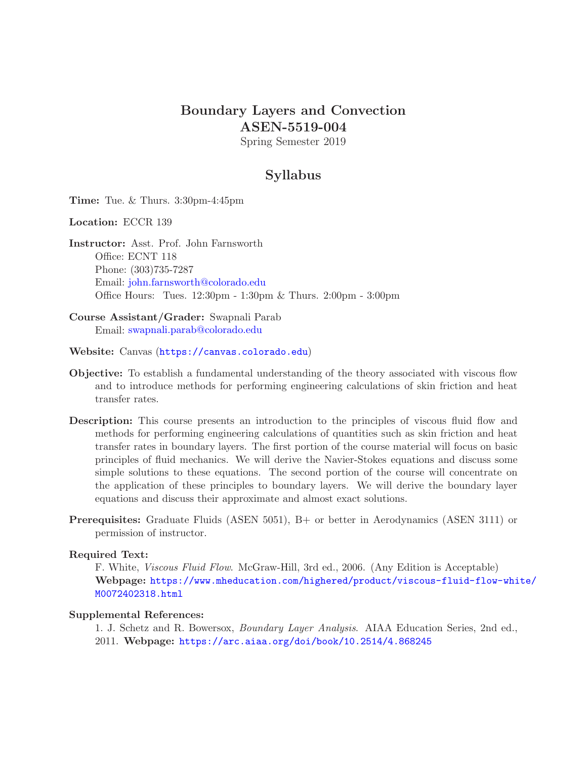## Boundary Layers and Convection ASEN-5519-004

Spring Semester 2019

## Syllabus

Time: Tue. & Thurs. 3:30pm-4:45pm

Location: ECCR 139

Instructor: Asst. Prof. John Farnsworth Office: ECNT 118 Phone: (303)735-7287 Email: [john.farnsworth@colorado.edu](mailto:john.farnsworth@colorado.edu) Office Hours: Tues. 12:30pm - 1:30pm & Thurs. 2:00pm - 3:00pm

Course Assistant/Grader: Swapnali Parab Email: [swapnali.parab@colorado.edu](mailto:swapnali.parab@colorado.edu)

Website: Canvas (<https://canvas.colorado.edu>)

- Objective: To establish a fundamental understanding of the theory associated with viscous flow and to introduce methods for performing engineering calculations of skin friction and heat transfer rates.
- Description: This course presents an introduction to the principles of viscous fluid flow and methods for performing engineering calculations of quantities such as skin friction and heat transfer rates in boundary layers. The first portion of the course material will focus on basic principles of fluid mechanics. We will derive the Navier-Stokes equations and discuss some simple solutions to these equations. The second portion of the course will concentrate on the application of these principles to boundary layers. We will derive the boundary layer equations and discuss their approximate and almost exact solutions.
- Prerequisites: Graduate Fluids (ASEN 5051), B+ or better in Aerodynamics (ASEN 3111) or permission of instructor.

#### Required Text:

F. White, Viscous Fluid Flow. McGraw-Hill, 3rd ed., 2006. (Any Edition is Acceptable) Webpage: [https://www.mheducation.com/highered/product/viscous-fluid-flow-white/](https://www.mheducation.com/highered/product/viscous-fluid-flow-white/M0072402318.html) [M0072402318.html](https://www.mheducation.com/highered/product/viscous-fluid-flow-white/M0072402318.html)

#### Supplemental References:

1. J. Schetz and R. Bowersox, Boundary Layer Analysis. AIAA Education Series, 2nd ed., 2011. Webpage: <https://arc.aiaa.org/doi/book/10.2514/4.868245>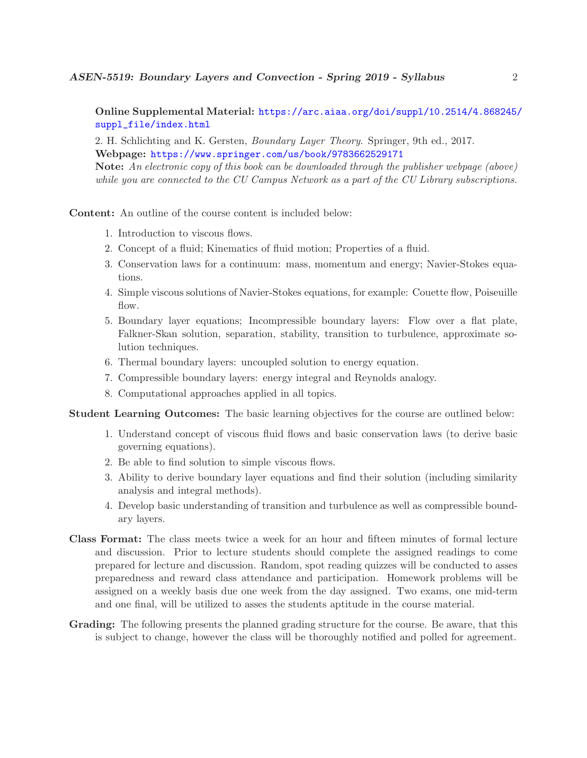Online Supplemental Material: [https://arc.aiaa.org/doi/suppl/10.2514/4.868245/](https://arc.aiaa.org/doi/suppl/10.2514/4.868245/suppl_file/index.html) [suppl\\_file/index.html](https://arc.aiaa.org/doi/suppl/10.2514/4.868245/suppl_file/index.html)

2. H. Schlichting and K. Gersten, Boundary Layer Theory. Springer, 9th ed., 2017. Webpage: <https://www.springer.com/us/book/9783662529171>

Note: An electronic copy of this book can be downloaded through the publisher webpage (above) while you are connected to the CU Campus Network as a part of the CU Library subscriptions.

Content: An outline of the course content is included below:

- 1. Introduction to viscous flows.
- 2. Concept of a fluid; Kinematics of fluid motion; Properties of a fluid.
- 3. Conservation laws for a continuum: mass, momentum and energy; Navier-Stokes equations.
- 4. Simple viscous solutions of Navier-Stokes equations, for example: Couette flow, Poiseuille flow.
- 5. Boundary layer equations; Incompressible boundary layers: Flow over a flat plate, Falkner-Skan solution, separation, stability, transition to turbulence, approximate solution techniques.
- 6. Thermal boundary layers: uncoupled solution to energy equation.
- 7. Compressible boundary layers: energy integral and Reynolds analogy.
- 8. Computational approaches applied in all topics.

Student Learning Outcomes: The basic learning objectives for the course are outlined below:

- 1. Understand concept of viscous fluid flows and basic conservation laws (to derive basic governing equations).
- 2. Be able to find solution to simple viscous flows.
- 3. Ability to derive boundary layer equations and find their solution (including similarity analysis and integral methods).
- 4. Develop basic understanding of transition and turbulence as well as compressible boundary layers.
- Class Format: The class meets twice a week for an hour and fifteen minutes of formal lecture and discussion. Prior to lecture students should complete the assigned readings to come prepared for lecture and discussion. Random, spot reading quizzes will be conducted to asses preparedness and reward class attendance and participation. Homework problems will be assigned on a weekly basis due one week from the day assigned. Two exams, one mid-term and one final, will be utilized to asses the students aptitude in the course material.
- Grading: The following presents the planned grading structure for the course. Be aware, that this is subject to change, however the class will be thoroughly notified and polled for agreement.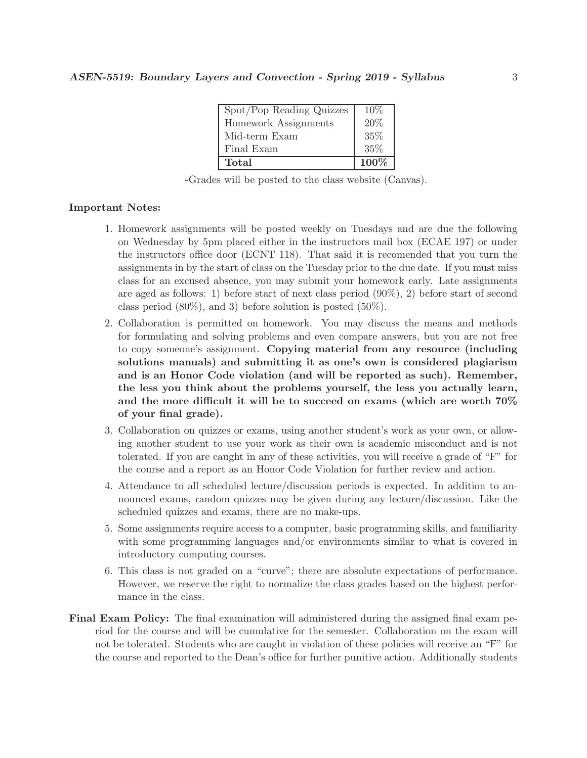| Spot/Pop Reading Quizzes | $10\%$ |
|--------------------------|--------|
| Homework Assignments     | 20%    |
| Mid-term Exam            | 35%    |
| Final Exam               | 35%    |
| Total                    | 100%   |

-Grades will be posted to the class website (Canvas).

#### Important Notes:

- 1. Homework assignments will be posted weekly on Tuesdays and are due the following on Wednesday by 5pm placed either in the instructors mail box (ECAE 197) or under the instructors office door (ECNT 118). That said it is recomended that you turn the assignments in by the start of class on the Tuesday prior to the due date. If you must miss class for an excused absence, you may submit your homework early. Late assignments are aged as follows: 1) before start of next class period (90%), 2) before start of second class period  $(80\%)$ , and 3) before solution is posted  $(50\%)$ .
- 2. Collaboration is permitted on homework. You may discuss the means and methods for formulating and solving problems and even compare answers, but you are not free to copy someone's assignment. Copying material from any resource (including solutions manuals) and submitting it as one's own is considered plagiarism and is an Honor Code violation (and will be reported as such). Remember, the less you think about the problems yourself, the less you actually learn, and the more difficult it will be to succeed on exams (which are worth 70% of your final grade).
- 3. Collaboration on quizzes or exams, using another student's work as your own, or allowing another student to use your work as their own is academic misconduct and is not tolerated. If you are caught in any of these activities, you will receive a grade of "F" for the course and a report as an Honor Code Violation for further review and action.
- 4. Attendance to all scheduled lecture/discussion periods is expected. In addition to announced exams, random quizzes may be given during any lecture/discussion. Like the scheduled quizzes and exams, there are no make-ups.
- 5. Some assignments require access to a computer, basic programming skills, and familiarity with some programming languages and/or environments similar to what is covered in introductory computing courses.
- 6. This class is not graded on a "curve"; there are absolute expectations of performance. However, we reserve the right to normalize the class grades based on the highest performance in the class.
- Final Exam Policy: The final examination will administered during the assigned final exam period for the course and will be cumulative for the semester. Collaboration on the exam will not be tolerated. Students who are caught in violation of these policies will receive an "F" for the course and reported to the Dean's office for further punitive action. Additionally students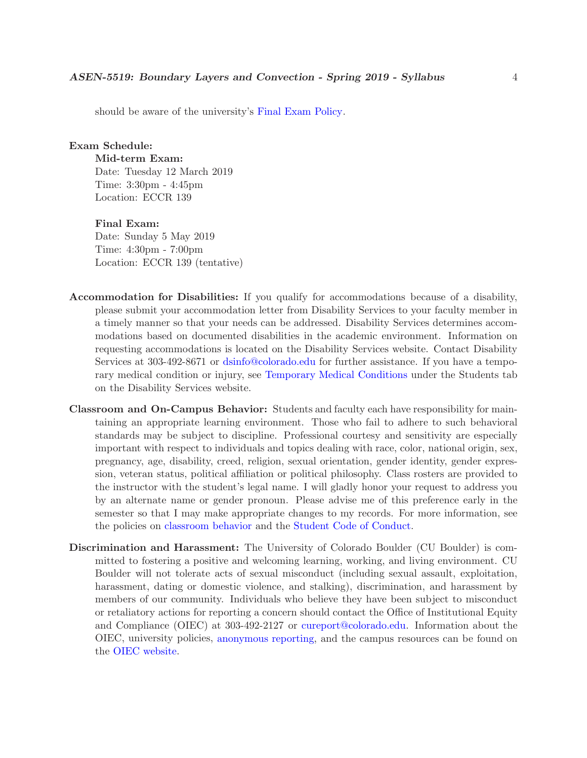should be aware of the university's [Final Exam Policy.](http://www.colorado.edu/policies/final-examination-policy)

#### Exam Schedule:

Mid-term Exam:

Date: Tuesday 12 March 2019 Time: 3:30pm - 4:45pm Location: ECCR 139

### Final Exam:

Date: Sunday 5 May 2019 Time: 4:30pm - 7:00pm Location: ECCR 139 (tentative)

- Accommodation for Disabilities: If you qualify for accommodations because of a disability, please submit your accommodation letter from Disability Services to your faculty member in a timely manner so that your needs can be addressed. Disability Services determines accommodations based on documented disabilities in the academic environment. Information on requesting accommodations is located on the Disability Services website. Contact Disability Services at 303-492-8671 or [dsinfo@colorado.edu](mailto:dsinfo@colorado.edu) for further assistance. If you have a temporary medical condition or injury, see [Temporary Medical Conditions](http://www.colorado.edu/disabilityservices/students/temporary-medical-conditions) under the Students tab on the Disability Services website.
- Classroom and On-Campus Behavior: Students and faculty each have responsibility for maintaining an appropriate learning environment. Those who fail to adhere to such behavioral standards may be subject to discipline. Professional courtesy and sensitivity are especially important with respect to individuals and topics dealing with race, color, national origin, sex, pregnancy, age, disability, creed, religion, sexual orientation, gender identity, gender expression, veteran status, political affiliation or political philosophy. Class rosters are provided to the instructor with the student's legal name. I will gladly honor your request to address you by an alternate name or gender pronoun. Please advise me of this preference early in the semester so that I may make appropriate changes to my records. For more information, see the policies on [classroom behavior](http://www.colorado.edu/policies/student-classroom-and-course-related-behavior) and the [Student Code of Conduct.](http://www.colorado.edu/osccr/)
- Discrimination and Harassment: The University of Colorado Boulder (CU Boulder) is committed to fostering a positive and welcoming learning, working, and living environment. CU Boulder will not tolerate acts of sexual misconduct (including sexual assault, exploitation, harassment, dating or domestic violence, and stalking), discrimination, and harassment by members of our community. Individuals who believe they have been subject to misconduct or retaliatory actions for reporting a concern should contact the Office of Institutional Equity and Compliance (OIEC) at 303-492-2127 or [cureport@colorado.edu.](mailto:cureport@colorado.edu) Information about the OIEC, university policies, [anonymous reporting,](https://cuboulder.qualtrics.com/jfe/form/SV_0PnqVK4kkIJIZnf) and the campus resources can be found on the [OIEC website.](http://www.colorado.edu/institutionalequity/)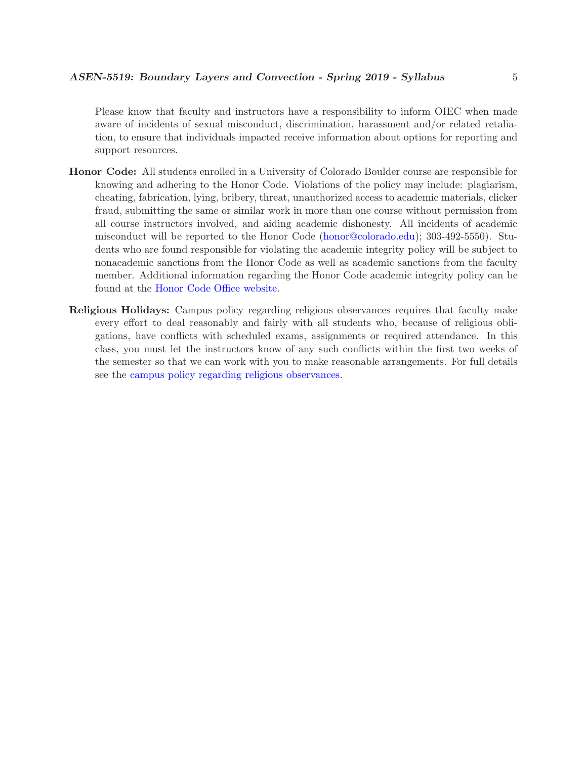Please know that faculty and instructors have a responsibility to inform OIEC when made aware of incidents of sexual misconduct, discrimination, harassment and/or related retaliation, to ensure that individuals impacted receive information about options for reporting and support resources.

- Honor Code: All students enrolled in a University of Colorado Boulder course are responsible for knowing and adhering to the Honor Code. Violations of the policy may include: plagiarism, cheating, fabrication, lying, bribery, threat, unauthorized access to academic materials, clicker fraud, submitting the same or similar work in more than one course without permission from all course instructors involved, and aiding academic dishonesty. All incidents of academic misconduct will be reported to the Honor Code [\(honor@colorado.edu\)](mailto:honor@colorado.edu); 303-492-5550). Students who are found responsible for violating the academic integrity policy will be subject to nonacademic sanctions from the Honor Code as well as academic sanctions from the faculty member. Additional information regarding the Honor Code academic integrity policy can be found at the [Honor Code Office website.](https://www.colorado.edu/osccr/honor-code)
- Religious Holidays: Campus policy regarding religious observances requires that faculty make every effort to deal reasonably and fairly with all students who, because of religious obligations, have conflicts with scheduled exams, assignments or required attendance. In this class, you must let the instructors know of any such conflicts within the first two weeks of the semester so that we can work with you to make reasonable arrangements. For full details see the [campus policy regarding religious observances.](http://www.colorado.edu/policies/observance-religious-holidays-and-absences-classes-andor-exams)